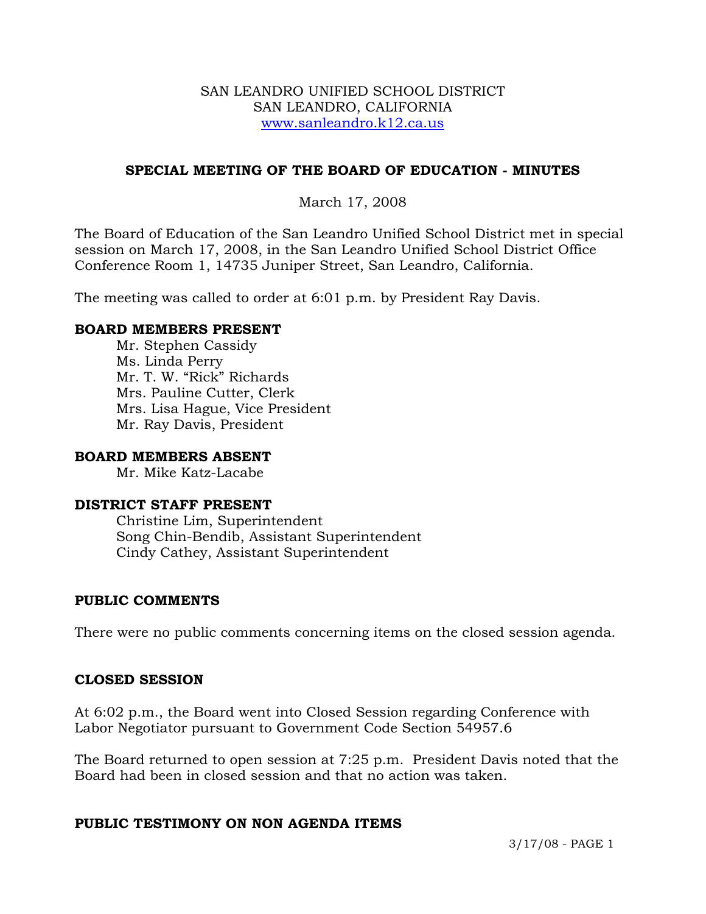#### SAN LEANDRO UNIFIED SCHOOL DISTRICT SAN LEANDRO, CALIFORNIA www.sanleandro.k12.ca.us

## **SPECIAL MEETING OF THE BOARD OF EDUCATION - MINUTES**

# March 17, 2008

The Board of Education of the San Leandro Unified School District met in special session on March 17, 2008, in the San Leandro Unified School District Office Conference Room 1, 14735 Juniper Street, San Leandro, California.

The meeting was called to order at 6:01 p.m. by President Ray Davis.

### **BOARD MEMBERS PRESENT**

Mr. Stephen Cassidy Ms. Linda Perry Mr. T. W. "Rick" Richards Mrs. Pauline Cutter, Clerk Mrs. Lisa Hague, Vice President Mr. Ray Davis, President

#### **BOARD MEMBERS ABSENT**

Mr. Mike Katz-Lacabe

#### **DISTRICT STAFF PRESENT**

Christine Lim, Superintendent Song Chin-Bendib, Assistant Superintendent Cindy Cathey, Assistant Superintendent

#### **PUBLIC COMMENTS**

There were no public comments concerning items on the closed session agenda.

#### **CLOSED SESSION**

At 6:02 p.m., the Board went into Closed Session regarding Conference with Labor Negotiator pursuant to Government Code Section 54957.6

The Board returned to open session at 7:25 p.m. President Davis noted that the Board had been in closed session and that no action was taken.

#### **PUBLIC TESTIMONY ON NON AGENDA ITEMS**

3/17/08 - PAGE 1